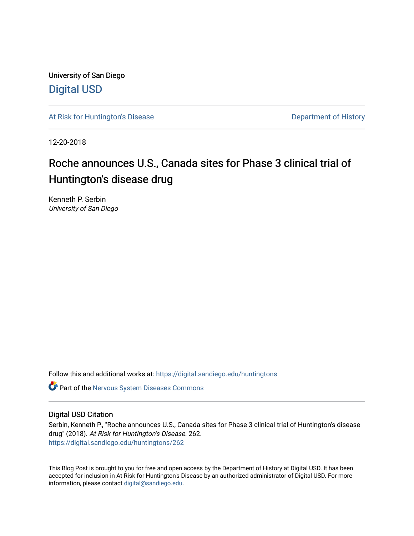University of San Diego [Digital USD](https://digital.sandiego.edu/)

[At Risk for Huntington's Disease](https://digital.sandiego.edu/huntingtons) **Department of History** Department of History

12-20-2018

# Roche announces U.S., Canada sites for Phase 3 clinical trial of Huntington's disease drug

Kenneth P. Serbin University of San Diego

Follow this and additional works at: [https://digital.sandiego.edu/huntingtons](https://digital.sandiego.edu/huntingtons?utm_source=digital.sandiego.edu%2Fhuntingtons%2F262&utm_medium=PDF&utm_campaign=PDFCoverPages)

**C** Part of the [Nervous System Diseases Commons](http://network.bepress.com/hgg/discipline/928?utm_source=digital.sandiego.edu%2Fhuntingtons%2F262&utm_medium=PDF&utm_campaign=PDFCoverPages)

## Digital USD Citation

Serbin, Kenneth P., "Roche announces U.S., Canada sites for Phase 3 clinical trial of Huntington's disease drug" (2018). At Risk for Huntington's Disease. 262. [https://digital.sandiego.edu/huntingtons/262](https://digital.sandiego.edu/huntingtons/262?utm_source=digital.sandiego.edu%2Fhuntingtons%2F262&utm_medium=PDF&utm_campaign=PDFCoverPages)

This Blog Post is brought to you for free and open access by the Department of History at Digital USD. It has been accepted for inclusion in At Risk for Huntington's Disease by an authorized administrator of Digital USD. For more information, please contact [digital@sandiego.edu.](mailto:digital@sandiego.edu)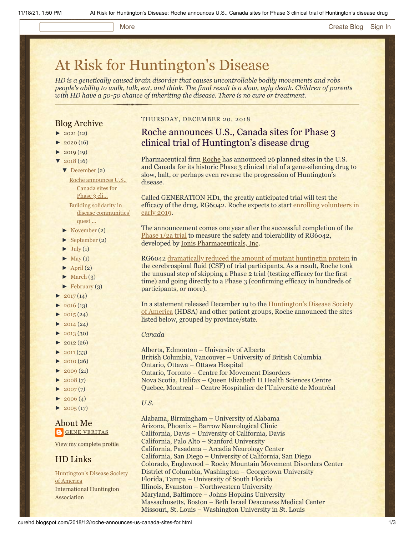#### More **[Create Blog](https://www.blogger.com/home#create) [Sign In](https://www.blogger.com/)**

# [At Risk for Huntington's Disease](http://curehd.blogspot.com/)

*HD is a genetically caused brain disorder that causes uncontrollable bodily movements and robs people's ability to walk, talk, eat, and think. The final result is a slow, ugly death. Children of parents with HD have a 50-50 chance of inheriting the disease. There is no cure or treatment.*

### Blog Archive

- $\blacktriangleright$  [2021](http://curehd.blogspot.com/2021/) (12)
- $\blacktriangleright$  [2020](http://curehd.blogspot.com/2020/) (16)
- $\blacktriangleright$  [2019](http://curehd.blogspot.com/2019/) (19)
- [▼](javascript:void(0)) [2018](http://curehd.blogspot.com/2018/) (16)
	- [▼](javascript:void(0)) [December](http://curehd.blogspot.com/2018/12/) (2)

Roche [announces](http://curehd.blogspot.com/2018/12/roche-announces-us-canada-sites-for.html) U.S., Canada sites for Phase 3 cli... Building solidarity in disease [communities'](http://curehd.blogspot.com/2018/12/building-solidarity-in-disease.html)

- quest ...
- [►](javascript:void(0)) [November](http://curehd.blogspot.com/2018/11/) (2)
- [►](javascript:void(0)) [September](http://curehd.blogspot.com/2018/09/) (2)
- $\blacktriangleright$  [July](http://curehd.blogspot.com/2018/07/) (1)
- $\blacktriangleright$  [May](http://curehd.blogspot.com/2018/05/) (1)
- $\blacktriangleright$  [April](http://curehd.blogspot.com/2018/04/) (2)
- $\blacktriangleright$  [March](http://curehd.blogspot.com/2018/03/) (3)
- $\blacktriangleright$  [February](http://curehd.blogspot.com/2018/02/) (3)
- $2017(14)$  $2017(14)$
- $\blacktriangleright$  [2016](http://curehd.blogspot.com/2016/) (13)
- $\blacktriangleright$  [2015](http://curehd.blogspot.com/2015/) (24)
- $\blacktriangleright$  [2014](http://curehd.blogspot.com/2014/) (24)
- $\blacktriangleright$  [2013](http://curehd.blogspot.com/2013/) (30)
- $\blacktriangleright$  [2012](http://curehd.blogspot.com/2012/) (26)
- $\blacktriangleright$  [2011](http://curehd.blogspot.com/2011/) (33)
- [►](javascript:void(0)) [2010](http://curehd.blogspot.com/2010/) (26)
- $\blacktriangleright$  [2009](http://curehd.blogspot.com/2009/) (21)
- $\blacktriangleright$  [2008](http://curehd.blogspot.com/2008/) $(7)$
- $\blacktriangleright$  [2007](http://curehd.blogspot.com/2007/) $(7)$
- $\blacktriangleright$  [2006](http://curehd.blogspot.com/2006/) (4)
- $\blacktriangleright$  [2005](http://curehd.blogspot.com/2005/) (17)

### About Me **GENE [VERITAS](https://www.blogger.com/profile/10911736205741688185)**

View my [complete](https://www.blogger.com/profile/10911736205741688185) profile

## HD Links

[Huntington's](http://www.hdsa.org/) Disease Society of America [International](http://www.huntington-assoc.com/) Huntington **Association** 

#### THURSDAY, DECEMBER 20, 2018

## Roche announces U.S., Canada sites for Phase 3 clinical trial of Huntington's disease drug

Pharmaceutical firm [Roche](https://www.roche.com/) has announced 26 planned sites in the U.S. and Canada for its historic Phase 3 clinical trial of a gene-silencing drug to slow, halt, or perhaps even reverse the progression of Huntington's disease.

Called GENERATION HD1, the greatly anticipated trial will test the [efficacy of the drug, RG6042. Roche expects to start enrolling volunteers in](http://curehd.blogspot.com/2018/09/roche-phase-3-clinical-trial-for.html) early 2019.

The announcement comes one year after the successful completion of the [Phase 1/2a trial](http://curehd.blogspot.com/2017/12/ionis-scientists-provide-initial.html) to measure the safety and tolerability of RG6042, developed by [Ionis Pharmaceuticals, Inc](http://www.ionispharma.com/).

RG6042 [dramatically reduced the amount of mutant huntingtin protein](http://curehd.blogspot.com/2018/03/ionis-phase-12a-clinical-trial-data.html) in the cerebrospinal fluid (CSF) of trial participants. As a result, Roche took the unusual step of skipping a Phase 2 trial (testing efficacy for the first time) and going directly to a Phase 3 (confirming efficacy in hundreds of participants, or more).

[In a statement released December 19 to the Huntington's Disease Society](http://www.hdsa.org/) of America (HDSA) and other patient groups, Roche announced the sites listed below, grouped by province/state.

#### *Canada*

- Alberta, Edmonton University of Alberta
- British Columbia, Vancouver University of British Columbia
	- Ontario, Ottawa Ottawa Hospital
- Ontario, Toronto Centre for Movement Disorders
	- Nova Scotia, Halifax Queen Elizabeth II Health Sciences Centre
	- Quebec, Montreal Centre Hospitalier de l'Université de Montréal
	- *U.S.*

Alabama, Birmingham – University of Alabama Arizona, Phoenix – Barrow Neurological Clinic California, Davis – University of California, Davis California, Palo Alto – Stanford University California, Pasadena – Arcadia Neurology Center California, San Diego – University of California, San Diego Colorado, Englewood – Rocky Mountain Movement Disorders Center District of Columbia, Washington – Georgetown University Florida, Tampa – University of South Florida Illinois, Evanston – Northwestern University Maryland, Baltimore – Johns Hopkins University Massachusetts, Boston – Beth Israel Deaconess Medical Center Missouri, St. Louis – Washington University in St. Louis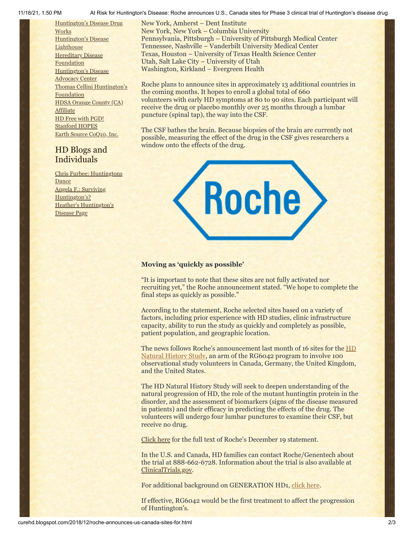11/18/21, 1:50 PM At Risk for Huntington's Disease: Roche announces U.S., Canada sites for Phase 3 clinical trial of Huntington's disease drug

[Huntington's](http://hddrugworks.org/) Disease Drug **Works** [Huntington's](http://www.hdlighthouse.org/) Disease **Lighthouse Hereditary Disease [Foundation](http://www.hdfoundation.org/)** [Huntington's](http://www.hdac.org/) Disease Advocacy Center Thomas [Cellini Huntington's](http://www.ourtchfoundation.org/) Foundation HDSA Orange County (CA) [Affiliate](http://www.hdsaoc.org/) HD Free with [PGD!](http://www.hdfreewithpgd.com/) [Stanford](http://www.stanford.edu/group/hopes/) HOPES Earth Source [CoQ10,](http://www.escoq10.com/) Inc.

## HD Blogs and Individuals

Chris Furbee: [Huntingtons](http://www.huntingtonsdance.org/) **Dance** Angela F.: Surviving [Huntington's?](http://survivinghuntingtons.blogspot.com/) Heather's [Huntington's](http://heatherdugdale.angelfire.com/) Disease Page

New York, Amherst – Dent Institute New York, New York – Columbia University Pennsylvania, Pittsburgh – University of Pittsburgh Medical Center Tennessee, Nashville – Vanderbilt University Medical Center Texas, Houston – University of Texas Health Science Center Utah, Salt Lake City – University of Utah Washington, Kirkland – Evergreen Health

Roche plans to announce sites in approximately 13 additional countries in the coming months. It hopes to enroll a global total of 660 volunteers with early HD symptoms at 80 to 90 sites. Each participant will receive the drug or placebo monthly over 25 months through a lumbar puncture (spinal tap), the way into the CSF.

The CSF bathes the brain. Because biopsies of the brain are currently not possible, measuring the effect of the drug in the CSF gives researchers a window onto the effects of the drug.



#### **Moving as 'quickly as possible'**

"It is important to note that these sites are not fully activated nor recruiting yet," the Roche announcement stated. "We hope to complete the final steps as quickly as possible."

According to the statement, Roche selected sites based on a variety of factors, including prior experience with HD studies, clinic infrastructure capacity, ability to run the study as quickly and completely as possible, patient population, and geographic location.

[The news follows Roche's announcement last month of 16 sites for the HD](http://curehd.blogspot.com/2018/11/roche-announces-first-sites-for-key.html) Natural History Study, an arm of the RG6042 program to involve 100 observational study volunteers in Canada, Germany, the United Kingdom, and the United States.

The HD Natural History Study will seek to deepen understanding of the natural progression of HD, the role of the mutant huntingtin protein in the disorder, and the assessment of biomarkers (signs of the disease measured in patients) and their efficacy in predicting the effects of the drug. The volunteers will undergo four lumbar punctures to examine their CSF, but receive no drug.

[Click here](https://hdsa.org/news/breaking-news-roche-genentech-announces-us-locations-of-generation-hd1-drug-study/) for the full text of Roche's December 19 statement.

In the U.S. and Canada, HD families can contact Roche/Genentech about the trial at 888-662-6728. Information about the trial is also available at [ClinicalTrials.gov](http://clinicaltrials.gov/).

For additional background on GENERATION HD1, [click here.](http://curehd.blogspot.com/2018/03/roche-gears-up-for-pivotal-phase-3.html)

If effective, RG6042 would be the first treatment to affect the progression of Huntington's.